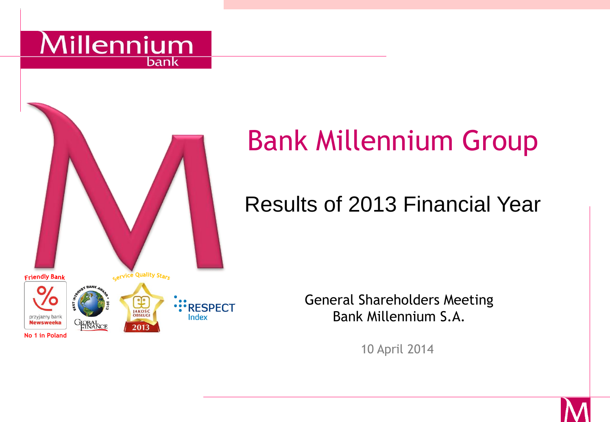



# Bank Millennium Group

# Results of 2013 Financial Year

General Shareholders Meeting Bank Millennium S.A.

10 April 2014

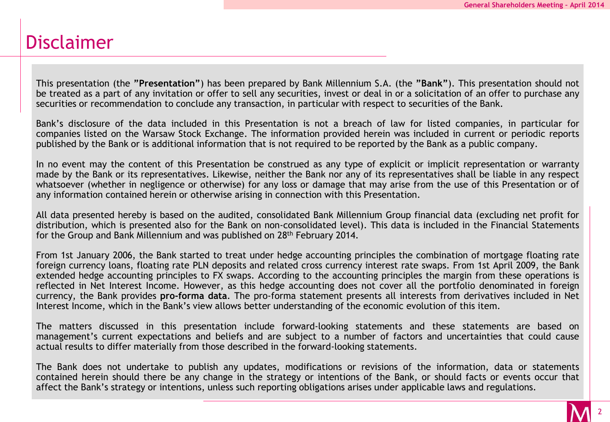#### Disclaimer

This presentation (the **"Presentation"**) has been prepared by Bank Millennium S.A. (the **"Bank"**). This presentation should not be treated as a part of any invitation or offer to sell any securities, invest or deal in or a solicitation of an offer to purchase any securities or recommendation to conclude any transaction, in particular with respect to securities of the Bank.

Bank's disclosure of the data included in this Presentation is not a breach of law for listed companies, in particular for companies listed on the Warsaw Stock Exchange. The information provided herein was included in current or periodic reports published by the Bank or is additional information that is not required to be reported by the Bank as a public company.

In no event may the content of this Presentation be construed as any type of explicit or implicit representation or warranty made by the Bank or its representatives. Likewise, neither the Bank nor any of its representatives shall be liable in any respect whatsoever (whether in negligence or otherwise) for any loss or damage that may arise from the use of this Presentation or of any information contained herein or otherwise arising in connection with this Presentation.

All data presented hereby is based on the audited, consolidated Bank Millennium Group financial data (excluding net profit for distribution, which is presented also for the Bank on non-consolidated level). This data is included in the Financial Statements for the Group and Bank Millennium and was published on 28<sup>th</sup> February 2014.

From 1st January 2006, the Bank started to treat under hedge accounting principles the combination of mortgage floating rate foreign currency loans, floating rate PLN deposits and related cross currency interest rate swaps. From 1st April 2009, the Bank extended hedge accounting principles to FX swaps. According to the accounting principles the margin from these operations is reflected in Net Interest Income. However, as this hedge accounting does not cover all the portfolio denominated in foreign currency, the Bank provides **pro-forma data**. The pro-forma statement presents all interests from derivatives included in Net Interest Income, which in the Bank's view allows better understanding of the economic evolution of this item.

The matters discussed in this presentation include forward-looking statements and these statements are based on management's current expectations and beliefs and are subject to a number of factors and uncertainties that could cause actual results to differ materially from those described in the forward-looking statements.

The Bank does not undertake to publish any updates, modifications or revisions of the information, data or statements contained herein should there be any change in the strategy or intentions of the Bank, or should facts or events occur that affect the Bank's strategy or intentions, unless such reporting obligations arises under applicable laws and regulations.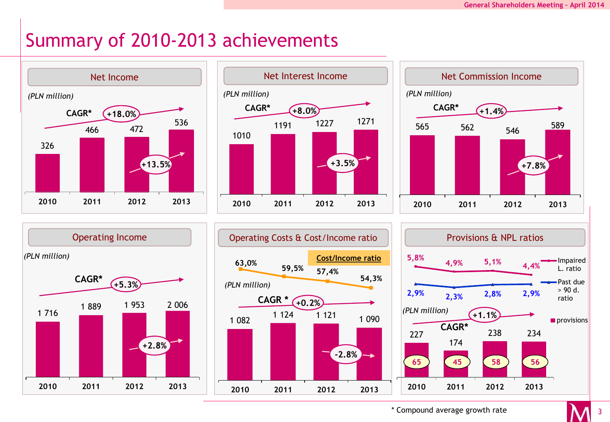# Summary of 2010-2013 achievements











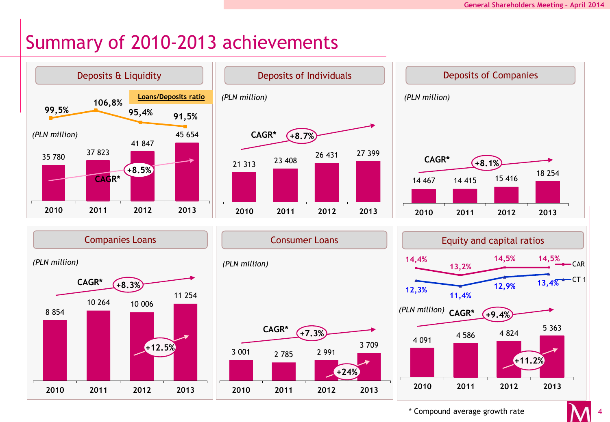## Summary of 2010-2013 achievements



\* Compound average growth rate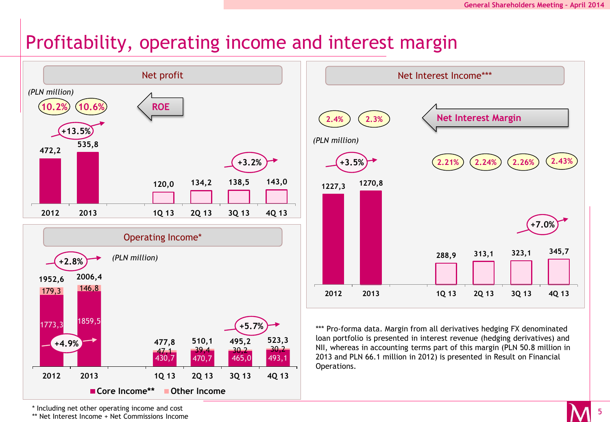#### Profitability, operating income and interest margin





\*\*\* Pro-forma data. Margin from all derivatives hedging FX denominated loan portfolio is presented in interest revenue (hedging derivatives) and NII, whereas in accounting terms part of this margin (PLN 50.8 million in 2013 and PLN 66.1 million in 2012) is presented in Result on Financial Operations.

\* Including net other operating income and cost

\*\* Net Interest Income + Net Commissions Income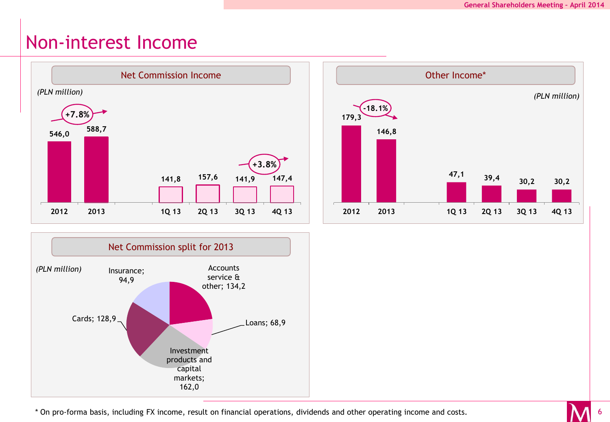#### Non-interest Income







\* On pro-forma basis, including FX income, result on financial operations, dividends and other operating income and costs.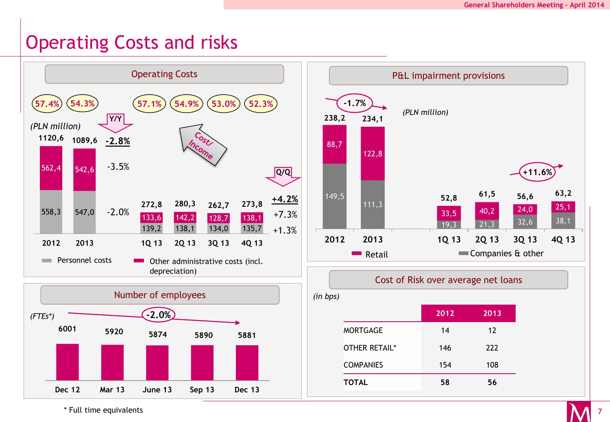7

#### Operating Costs and risks



\* Full time equivalents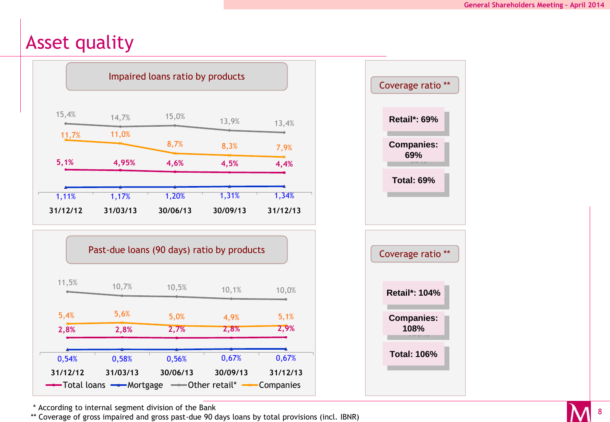# Asset quality







\* According to internal segment division of the Bank

\*\* Coverage of gross impaired and gross past-due 90 days loans by total provisions (incl. IBNR)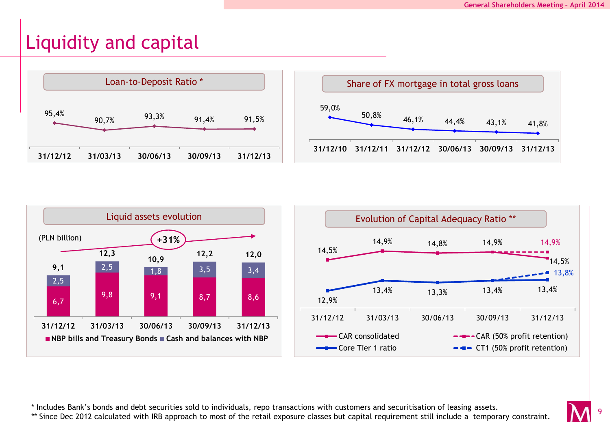#### Liquidity and capital







\* Includes Bank's bonds and debt securities sold to individuals, repo transactions with customers and securitisation of leasing assets.

\*\* Since Dec 2012 calculated with IRB approach to most of the retail exposure classes but capital requirement still include a temporary constraint.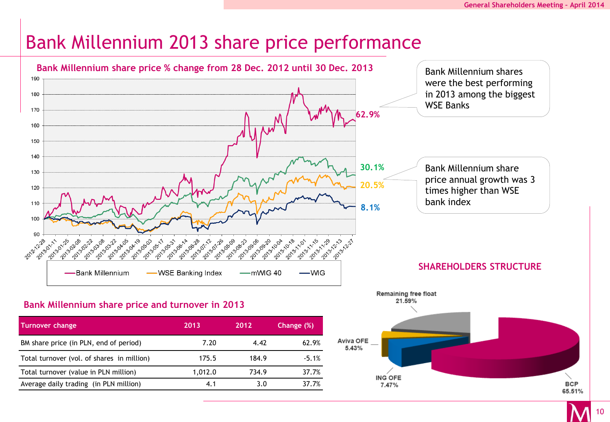# Bank Millennium 2013 share price performance



10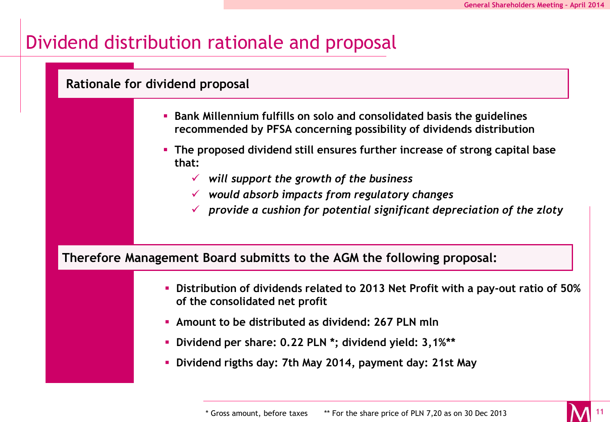11

## Dividend distribution rationale and proposal